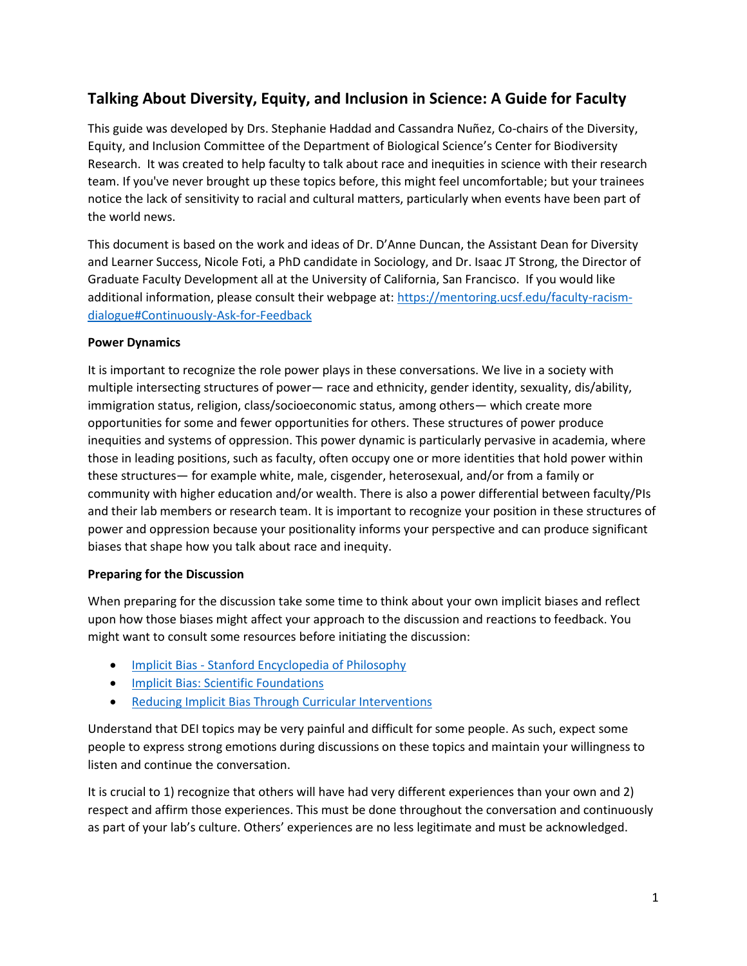# **Talking About Diversity, Equity, and Inclusion in Science: A Guide for Faculty**

This guide was developed by Drs. Stephanie Haddad and Cassandra Nuñez, Co-chairs of the Diversity, Equity, and Inclusion Committee of the Department of Biological Science's Center for Biodiversity Research. It was created to help faculty to talk about race and inequities in science with their research team. If you've never brought up these topics before, this might feel uncomfortable; but your trainees notice the lack of sensitivity to racial and cultural matters, particularly when events have been part of the world news.

This document is based on the work and ideas of Dr. D'Anne Duncan, the Assistant Dean for Diversity and Learner Success, Nicole Foti, a PhD candidate in Sociology, and Dr. Isaac JT Strong, the Director of Graduate Faculty Development all at the University of California, San Francisco. If you would like additional information, please consult their webpage at[: https://mentoring.ucsf.edu/faculty-racism](https://mentoring.ucsf.edu/faculty-racism-dialogue#Continuously-Ask-for-Feedback)[dialogue#Continuously-Ask-for-Feedback](https://mentoring.ucsf.edu/faculty-racism-dialogue#Continuously-Ask-for-Feedback)

#### **Power Dynamics**

It is important to recognize the role power plays in these conversations. We live in a society with multiple intersecting structures of power— race and ethnicity, gender identity, sexuality, dis/ability, immigration status, religion, class/socioeconomic status, among others— which create more opportunities for some and fewer opportunities for others. These structures of power produce inequities and systems of oppression. This power dynamic is particularly pervasive in academia, where those in leading positions, such as faculty, often occupy one or more identities that hold power within these structures— for example white, male, cisgender, heterosexual, and/or from a family or community with higher education and/or wealth. There is also a power differential between faculty/PIs and their lab members or research team. It is important to recognize your position in these structures of power and oppression because your positionality informs your perspective and can produce significant biases that shape how you talk about race and inequity.

## **Preparing for the Discussion**

When preparing for the discussion take some time to think about your own implicit biases and reflect upon how those biases might affect your approach to the discussion and reactions to feedback. You might want to consult some resources before initiating the discussion:

- Implicit Bias [Stanford Encyclopedia of Philosophy](https://plato.stanford.edu/entries/implicit-bias/)
- [Implicit Bias: Scientific Foundations](https://www.jstor.org/stable/20439056?casa_token=tCg76P6GpboAAAAA%3AHm8j4-u5Ya63UAFfWG3EfEjX1f8B_Aj4VwhrZEvpqyFFhdDipy8b4tC3YZFgFU3EgmdsWLdDL3d7o-QlGkKgnU1QBruGZCYrW6gdayNXBdm09seKO-sv&seq=1#metadata_info_tab_contents)
- [Reducing Implicit Bias Through Curricular Interventions](https://link.springer.com/article/10.1007/s11606-015-3496-y)

Understand that DEI topics may be very painful and difficult for some people. As such, expect some people to express strong emotions during discussions on these topics and maintain your willingness to listen and continue the conversation.

It is crucial to 1) recognize that others will have had very different experiences than your own and 2) respect and affirm those experiences. This must be done throughout the conversation and continuously as part of your lab's culture. Others' experiences are no less legitimate and must be acknowledged.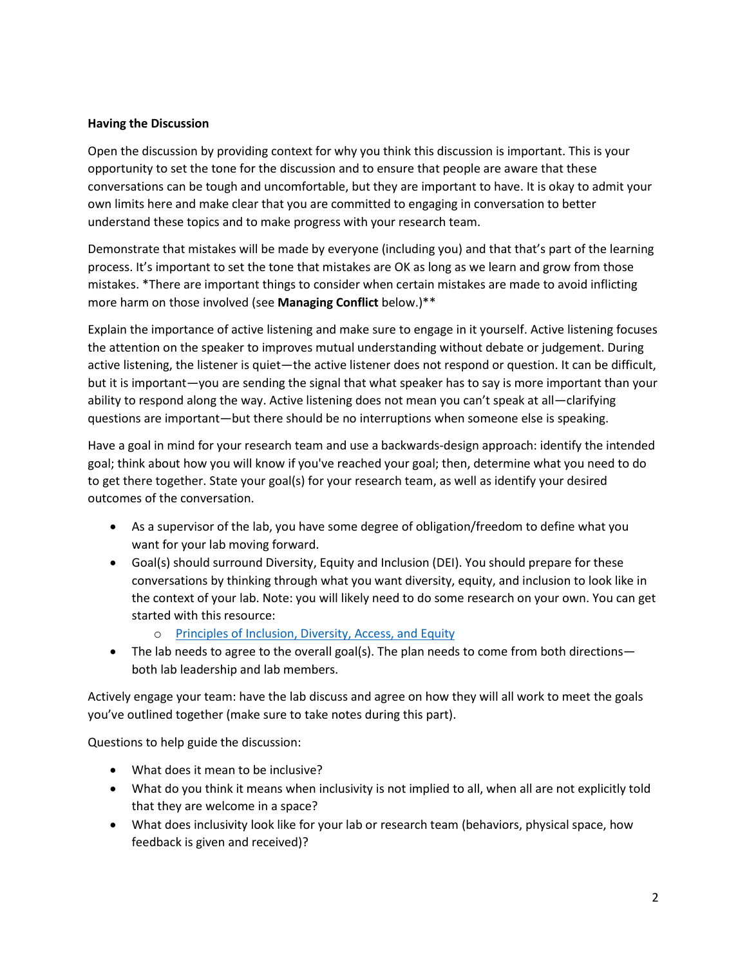#### **Having the Discussion**

Open the discussion by providing context for why you think this discussion is important. This is your opportunity to set the tone for the discussion and to ensure that people are aware that these conversations can be tough and uncomfortable, but they are important to have. It is okay to admit your own limits here and make clear that you are committed to engaging in conversation to better understand these topics and to make progress with your research team.

Demonstrate that mistakes will be made by everyone (including you) and that that's part of the learning process. It's important to set the tone that mistakes are OK as long as we learn and grow from those mistakes. \*There are important things to consider when certain mistakes are made to avoid inflicting more harm on those involved (see **Managing Conflict** below.)\*\*

Explain the importance of active listening and make sure to engage in it yourself. Active listening focuses the attention on the speaker to improves mutual understanding without debate or judgement. During active listening, the listener is quiet—the active listener does not respond or question. It can be difficult, but it is important—you are sending the signal that what speaker has to say is more important than your ability to respond along the way. Active listening does not mean you can't speak at all—clarifying questions are important—but there should be no interruptions when someone else is speaking.

Have a goal in mind for your research team and use a backwards-design approach: identify the intended goal; think about how you will know if you've reached your goal; then, determine what you need to do to get there together. State your goal(s) for your research team, as well as identify your desired outcomes of the conversation.

- As a supervisor of the lab, you have some degree of obligation/freedom to define what you want for your lab moving forward.
- Goal(s) should surround Diversity, Equity and Inclusion (DEI). You should prepare for these conversations by thinking through what you want diversity, equity, and inclusion to look like in the context of your lab. Note: you will likely need to do some research on your own. You can get started with this resource:
	- o [Principles of Inclusion, Diversity, Access, and Equity](https://academic.oup.com/jid/article/220/Supplement_2/S30/5552351)
- The lab needs to agree to the overall goal(s). The plan needs to come from both directions both lab leadership and lab members.

Actively engage your team: have the lab discuss and agree on how they will all work to meet the goals you've outlined together (make sure to take notes during this part).

Questions to help guide the discussion:

- What does it mean to be inclusive?
- What do you think it means when inclusivity is not implied to all, when all are not explicitly told that they are welcome in a space?
- What does inclusivity look like for your lab or research team (behaviors, physical space, how feedback is given and received)?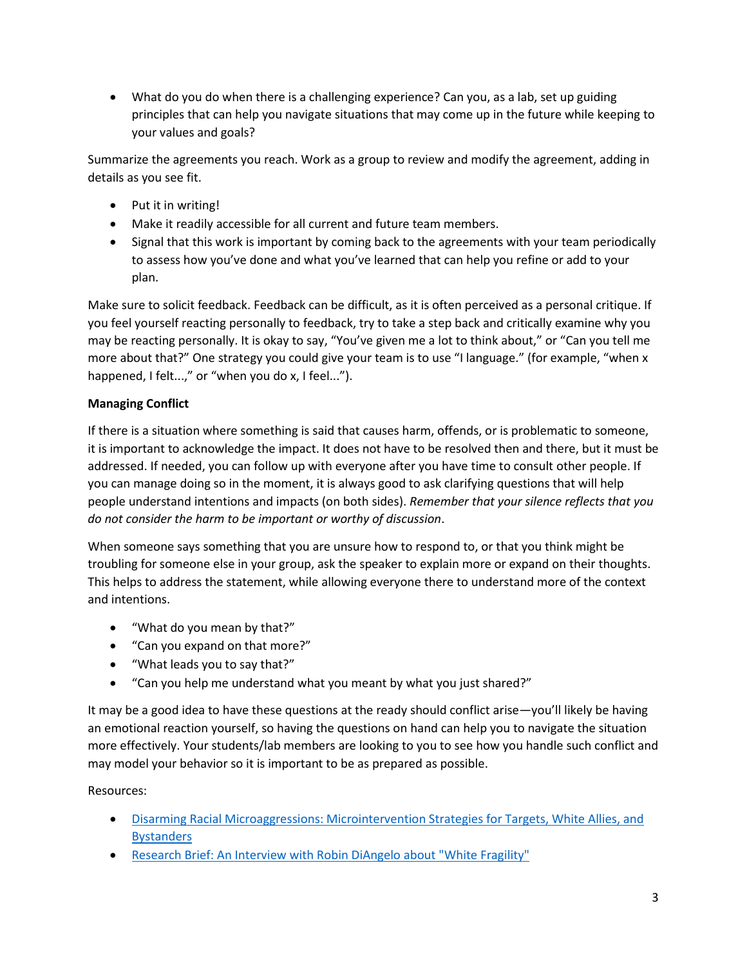• What do you do when there is a challenging experience? Can you, as a lab, set up guiding principles that can help you navigate situations that may come up in the future while keeping to your values and goals?

Summarize the agreements you reach. Work as a group to review and modify the agreement, adding in details as you see fit.

- Put it in writing!
- Make it readily accessible for all current and future team members.
- Signal that this work is important by coming back to the agreements with your team periodically to assess how you've done and what you've learned that can help you refine or add to your plan.

Make sure to solicit feedback. Feedback can be difficult, as it is often perceived as a personal critique. If you feel yourself reacting personally to feedback, try to take a step back and critically examine why you may be reacting personally. It is okay to say, "You've given me a lot to think about," or "Can you tell me more about that?" One strategy you could give your team is to use "I language." (for example, "when x happened, I felt...," or "when you do x, I feel...").

# **Managing Conflict**

If there is a situation where something is said that causes harm, offends, or is problematic to someone, it is important to acknowledge the impact. It does not have to be resolved then and there, but it must be addressed. If needed, you can follow up with everyone after you have time to consult other people. If you can manage doing so in the moment, it is always good to ask clarifying questions that will help people understand intentions and impacts (on both sides). *Remember that your silence reflects that you do not consider the harm to be important or worthy of discussion*.

When someone says something that you are unsure how to respond to, or that you think might be troubling for someone else in your group, ask the speaker to explain more or expand on their thoughts. This helps to address the statement, while allowing everyone there to understand more of the context and intentions.

- "What do you mean by that?"
- "Can you expand on that more?"
- "What leads you to say that?"
- "Can you help me understand what you meant by what you just shared?"

It may be a good idea to have these questions at the ready should conflict arise—you'll likely be having an emotional reaction yourself, so having the questions on hand can help you to navigate the situation more effectively. Your students/lab members are looking to you to see how you handle such conflict and may model your behavior so it is important to be as prepared as possible.

## Resources:

- Disarming [Racial Microaggressions: Microintervention Strategies for Targets, White Allies, and](https://psycnet.apa.org/doiLanding?doi=10.1037%2Famp0000296)  **[Bystanders](https://psycnet.apa.org/doiLanding?doi=10.1037%2Famp0000296)**
- [Research Brief: An Interview with Robin DiAngelo about "White Fragility"](http://www.racismreview.com/blog/2015/03/16/research-brief-white-fragility/)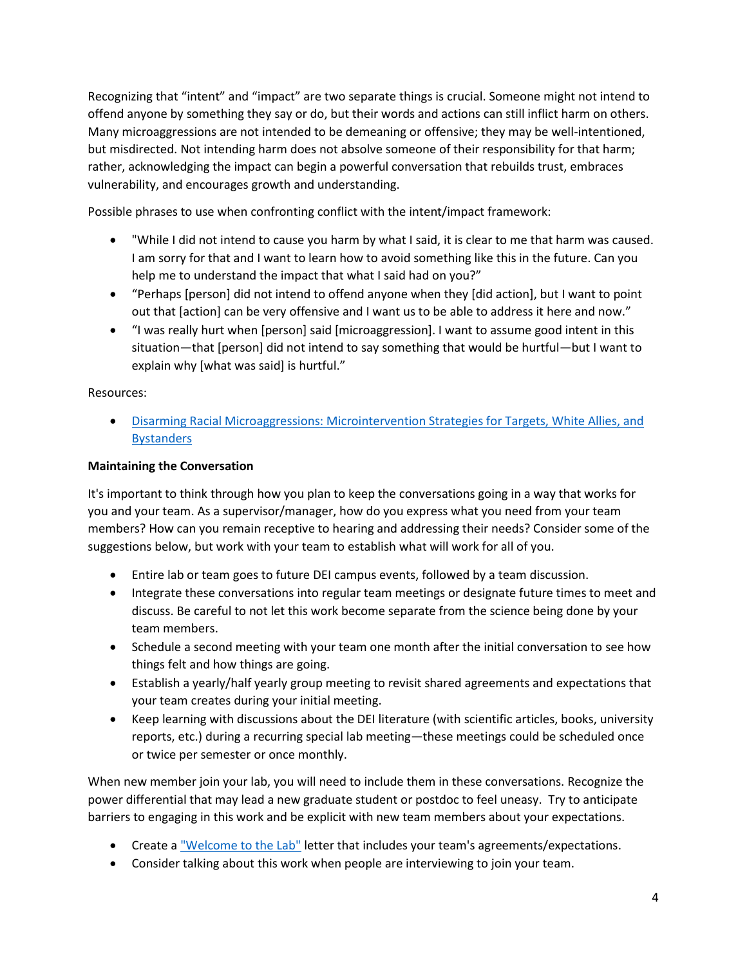Recognizing that "intent" and "impact" are two separate things is crucial. Someone might not intend to offend anyone by something they say or do, but their words and actions can still inflict harm on others. Many microaggressions are not intended to be demeaning or offensive; they may be well-intentioned, but misdirected. Not intending harm does not absolve someone of their responsibility for that harm; rather, acknowledging the impact can begin a powerful conversation that rebuilds trust, embraces vulnerability, and encourages growth and understanding.

Possible phrases to use when confronting conflict with the intent/impact framework:

- "While I did not intend to cause you harm by what I said, it is clear to me that harm was caused. I am sorry for that and I want to learn how to avoid something like this in the future. Can you help me to understand the impact that what I said had on you?"
- "Perhaps [person] did not intend to offend anyone when they [did action], but I want to point out that [action] can be very offensive and I want us to be able to address it here and now."
- "I was really hurt when [person] said [microaggression]. I want to assume good intent in this situation—that [person] did not intend to say something that would be hurtful—but I want to explain why [what was said] is hurtful."

Resources:

• [Disarming Racial Microaggressions: Microintervention Strategies for Targets, White Allies, and](https://psycnet.apa.org/doiLanding?doi=10.1037%2Famp0000296)  **[Bystanders](https://psycnet.apa.org/doiLanding?doi=10.1037%2Famp0000296)** 

## **Maintaining the Conversation**

It's important to think through how you plan to keep the conversations going in a way that works for you and your team. As a supervisor/manager, how do you express what you need from your team members? How can you remain receptive to hearing and addressing their needs? Consider some of the suggestions below, but work with your team to establish what will work for all of you.

- Entire lab or team goes to future DEI campus events, followed by a team discussion.
- Integrate these conversations into regular team meetings or designate future times to meet and discuss. Be careful to not let this work become separate from the science being done by your team members.
- Schedule a second meeting with your team one month after the initial conversation to see how things felt and how things are going.
- Establish a yearly/half yearly group meeting to revisit shared agreements and expectations that your team creates during your initial meeting.
- Keep learning with discussions about the DEI literature (with scientific articles, books, university reports, etc.) during a recurring special lab meeting—these meetings could be scheduled once or twice per semester or once monthly.

When new member join your lab, you will need to include them in these conversations. Recognize the power differential that may lead a new graduate student or postdoc to feel uneasy. Try to anticipate barriers to engaging in this work and be explicit with new team members about your expectations.

- Create a ["Welcome to the Lab"](https://www.researchgate.net/publication/317959008_The_%27Welcome_Letter%27_A_Useful_Tool_for_Laboratories_and_Teams) letter that includes your team's agreements/expectations.
- Consider talking about this work when people are interviewing to join your team.